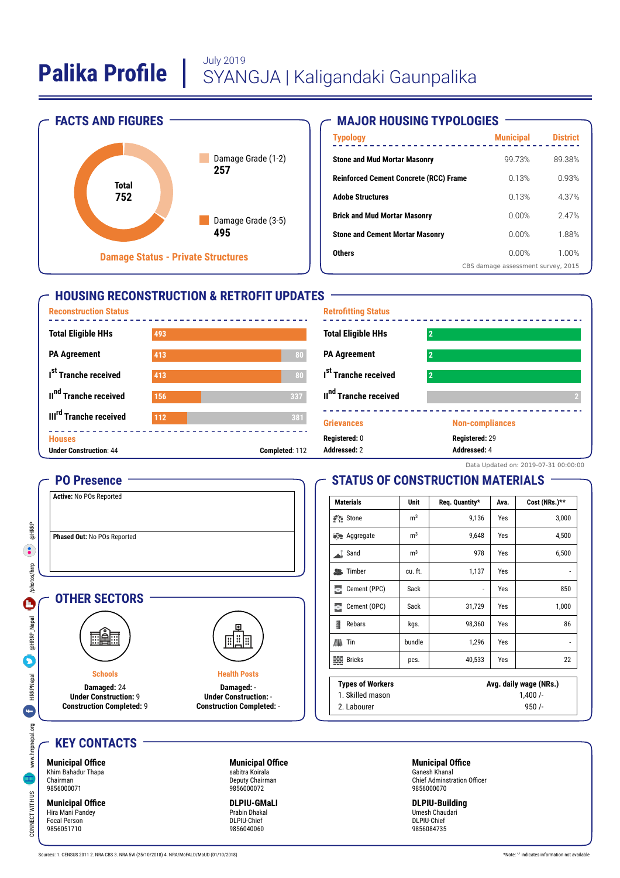

### **MAJOR HOUSING TYPOLOGIES**

| <b>Typology</b>                               | <b>Municipal</b>                   | <b>District</b> |  |
|-----------------------------------------------|------------------------------------|-----------------|--|
| <b>Stone and Mud Mortar Masonry</b>           | 99 73%                             | 89.38%          |  |
| <b>Reinforced Cement Concrete (RCC) Frame</b> | 0.13%                              | 0.93%           |  |
| <b>Adobe Structures</b>                       | 0.13%                              | 4.37%           |  |
| <b>Brick and Mud Mortar Masonry</b>           | <u>በ በበ%</u>                       | 247%            |  |
| <b>Stone and Cement Mortar Masonry</b>        | <u>በ በበ%</u>                       | 1.88%           |  |
| <b>Others</b>                                 | <u>በ በበ%</u>                       | 1.00%           |  |
|                                               | CBS damage assessment survey, 2015 |                 |  |

## **HOUSING RECONSTRUCTION & RETROFIT UPDATES**





#### Data Updated on: 2019-07-31 00:00:00

## **STATUS OF CONSTRUCTION MATERIALS**

| <b>Materials</b>         | <b>Unit</b>    | Req. Quantity*         | Ava. | Cost (NRs.)** |
|--------------------------|----------------|------------------------|------|---------------|
| a <sup>s</sup> stone     | m <sup>3</sup> | 9,136                  | Yes  | 3,000         |
| <b>Execute</b> Aggregate | m <sup>3</sup> | 9,648                  | Yes  | 4,500         |
| Sand<br>al.              | m <sup>3</sup> | 978                    | Yes  | 6,500         |
| <b>图</b> Timber          | cu. ft.        | 1,137                  | Yes  |               |
| Cement (PPC)<br>Ξ        | Sack           | ٠                      | Yes  | 850           |
| Cement (OPC)<br>Ξ        | Sack           | 31,729                 | Yes  | 1,000         |
| 1<br>Rebars              | kgs.           | 98,360                 | Yes  | 86            |
| 胍<br>Tin                 | bundle         | 1,296                  | Yes  | -             |
| <b>Bricks</b><br>靈       | pcs.           | 40,533                 | Yes  | 22            |
| <b>Types of Workers</b>  |                | Avg. daily wage (NRs.) |      |               |
| 1. Skilled mason         |                | 1,400/                 |      |               |
| 2. Labourer              |                | 950/                   |      |               |

#### 2. Labourer

## **KEY CONTACTS**

**PO Presence Active:** No POs Reported

**Phased Out:** No POs Reported

**OTHER SECTORS**

**Schools Damaged:** 24 **Under Construction:** 9 **Construction Completed:** 9

. A.



CONNECT WWW.hrrpnepal.org HRRPNepal and December 1999 and December 1999 and December 1999 and December 1999 and December 1999 and December 1999 and December 1999 and December 1999 and December 1999 and December 1999 and De

**HRRPNepal** 

e

www.hrrpnepal.org

 $\frac{8}{2}$ 

CONNECT WITH U

@HRRP  $\bullet$ 

/photos/hrp

 $\ddot{\mathbf{e}}$ 

@HRRP\_Nepal

**Municipal Office** Hira Mani Pandey Focal Person 9856051710

**Municipal Office** sabitra Koirala Deputy Chairman 9856000072

**Health Posts Damaged:** - **Under Construction:** - **Construction Completed:** -

围

**DLPIU-GMaLI** Prabin Dhakal DLPIU-Chief 9856040060

#### **Municipal Office** Ganesh Khanal

Chief Adminstration Officer 9856000070

**DLPIU-Building** Umesh Chaudari DLPIU-Chief 9856084735